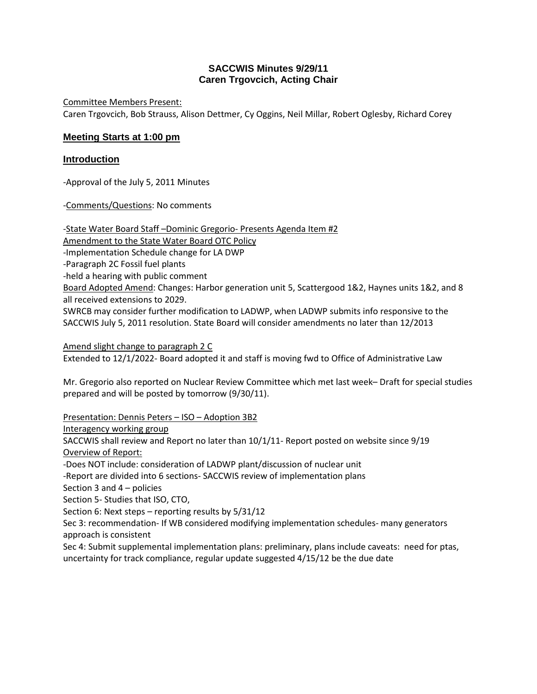## **SACCWIS Minutes 9/29/11 Caren Trgovcich, Acting Chair**

Committee Members Present: Caren Trgovcich, Bob Strauss, Alison Dettmer, Cy Oggins, Neil Millar, Robert Oglesby, Richard Corey

# **Meeting Starts at 1:00 pm**

## **Introduction**

-Approval of the July 5, 2011 Minutes

-Comments/Questions: No comments

-State Water Board Staff-Dominic Gregorio- Presents Agenda Item #2 Amendment to the State Water Board OTC Policy -Implementation Schedule change for LA DWP -Paragraph 2C Fossil fuel plants -held a hearing with public comment Board Adopted Amend: Changes: Harbor generation unit 5, Scattergood 1&2, Haynes units 1&2, and 8 all received extensions to 2029. SWRCB may consider further modification to LADWP, when LADWP submits info responsive to the SACCWIS July 5, 2011 resolution. State Board will consider amendments no later than 12/2013

Amend slight change to paragraph 2 C Extended to 12/1/2022- Board adopted it and staff is moving fwd to Office of Administrative Law

Mr. Gregorio also reported on Nuclear Review Committee which met last week– Draft for special studies prepared and will be posted by tomorrow (9/30/11).

Presentation: Dennis Peters – ISO – Adoption 3B2

Interagency working group

SACCWIS shall review and Report no later than 10/1/11- Report posted on website since 9/19 Overview of Report:

-Does NOT include: consideration of LADWP plant/discussion of nuclear unit

-Report are divided into 6 sections- SACCWIS review of implementation plans

Section 3 and 4 – policies

Section 5- Studies that ISO, CTO,

Section 6: Next steps – reporting results by 5/31/12

Sec 3: recommendation- If WB considered modifying implementation schedules- many generators approach is consistent

Sec 4: Submit supplemental implementation plans: preliminary, plans include caveats: need for ptas, uncertainty for track compliance, regular update suggested 4/15/12 be the due date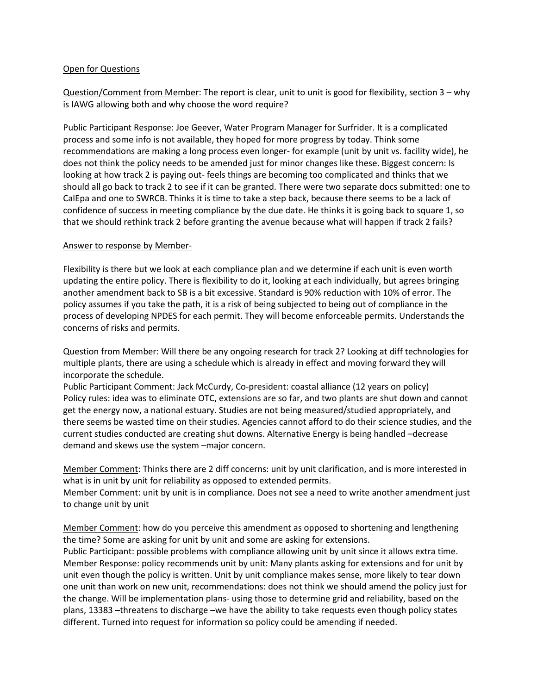#### Open for Questions

Question/Comment from Member: The report is clear, unit to unit is good for flexibility, section 3 – why is IAWG allowing both and why choose the word require?

Public Participant Response: Joe Geever, Water Program Manager for Surfrider. It is a complicated process and some info is not available, they hoped for more progress by today. Think some recommendations are making a long process even longer- for example (unit by unit vs. facility wide), he does not think the policy needs to be amended just for minor changes like these. Biggest concern: Is looking at how track 2 is paying out- feels things are becoming too complicated and thinks that we should all go back to track 2 to see if it can be granted. There were two separate docs submitted: one to CalEpa and one to SWRCB. Thinks it is time to take a step back, because there seems to be a lack of confidence of success in meeting compliance by the due date. He thinks it is going back to square 1, so that we should rethink track 2 before granting the avenue because what will happen if track 2 fails?

#### Answer to response by Member-

Flexibility is there but we look at each compliance plan and we determine if each unit is even worth updating the entire policy. There is flexibility to do it, looking at each individually, but agrees bringing another amendment back to SB is a bit excessive. Standard is 90% reduction with 10% of error. The policy assumes if you take the path, it is a risk of being subjected to being out of compliance in the process of developing NPDES for each permit. They will become enforceable permits. Understands the concerns of risks and permits.

Question from Member: Will there be any ongoing research for track 2? Looking at diff technologies for multiple plants, there are using a schedule which is already in effect and moving forward they will incorporate the schedule.

Public Participant Comment: Jack McCurdy, Co-president: coastal alliance (12 years on policy) Policy rules: idea was to eliminate OTC, extensions are so far, and two plants are shut down and cannot get the energy now, a national estuary. Studies are not being measured/studied appropriately, and there seems be wasted time on their studies. Agencies cannot afford to do their science studies, and the current studies conducted are creating shut downs. Alternative Energy is being handled –decrease demand and skews use the system –major concern.

Member Comment: Thinks there are 2 diff concerns: unit by unit clarification, and is more interested in what is in unit by unit for reliability as opposed to extended permits.

Member Comment: unit by unit is in compliance. Does not see a need to write another amendment just to change unit by unit

Member Comment: how do you perceive this amendment as opposed to shortening and lengthening the time? Some are asking for unit by unit and some are asking for extensions.

Public Participant: possible problems with compliance allowing unit by unit since it allows extra time. Member Response: policy recommends unit by unit: Many plants asking for extensions and for unit by unit even though the policy is written. Unit by unit compliance makes sense, more likely to tear down one unit than work on new unit, recommendations: does not think we should amend the policy just for the change. Will be implementation plans- using those to determine grid and reliability, based on the plans, 13383 –threatens to discharge –we have the ability to take requests even though policy states different. Turned into request for information so policy could be amending if needed.